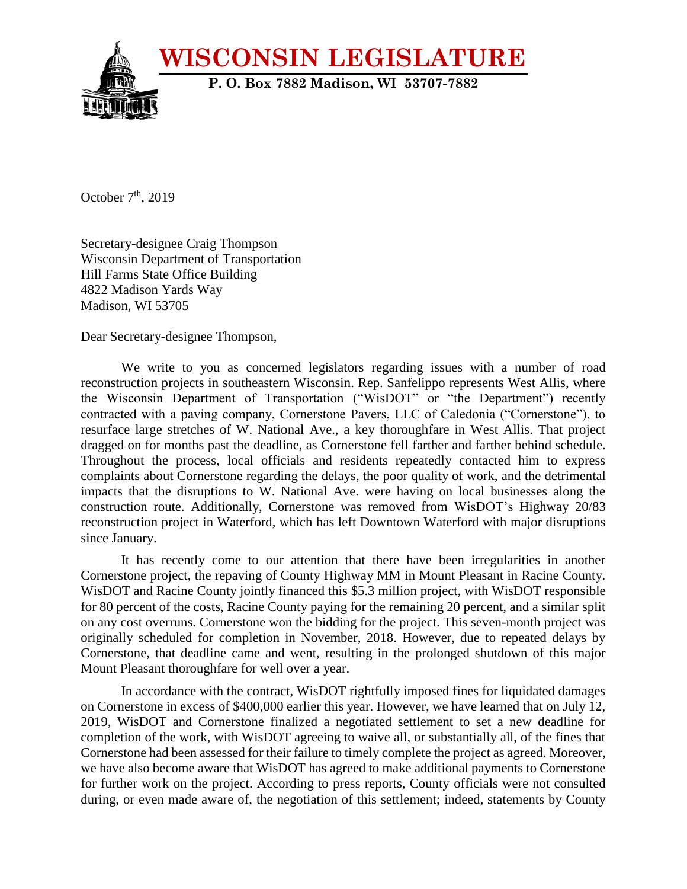

October  $7<sup>th</sup>$ , 2019

Secretary-designee Craig Thompson Wisconsin Department of Transportation Hill Farms State Office Building 4822 Madison Yards Way Madison, WI 53705

Dear Secretary-designee Thompson,

We write to you as concerned legislators regarding issues with a number of road reconstruction projects in southeastern Wisconsin. Rep. Sanfelippo represents West Allis, where the Wisconsin Department of Transportation ("WisDOT" or "the Department") recently contracted with a paving company, Cornerstone Pavers, LLC of Caledonia ("Cornerstone"), to resurface large stretches of W. National Ave., a key thoroughfare in West Allis. That project dragged on for months past the deadline, as Cornerstone fell farther and farther behind schedule. Throughout the process, local officials and residents repeatedly contacted him to express complaints about Cornerstone regarding the delays, the poor quality of work, and the detrimental impacts that the disruptions to W. National Ave. were having on local businesses along the construction route. Additionally, Cornerstone was removed from WisDOT's Highway 20/83 reconstruction project in Waterford, which has left Downtown Waterford with major disruptions since January.

It has recently come to our attention that there have been irregularities in another Cornerstone project, the repaving of County Highway MM in Mount Pleasant in Racine County. WisDOT and Racine County jointly financed this \$5.3 million project, with WisDOT responsible for 80 percent of the costs, Racine County paying for the remaining 20 percent, and a similar split on any cost overruns. Cornerstone won the bidding for the project. This seven-month project was originally scheduled for completion in November, 2018. However, due to repeated delays by Cornerstone, that deadline came and went, resulting in the prolonged shutdown of this major Mount Pleasant thoroughfare for well over a year.

In accordance with the contract, WisDOT rightfully imposed fines for liquidated damages on Cornerstone in excess of \$400,000 earlier this year. However, we have learned that on July 12, 2019, WisDOT and Cornerstone finalized a negotiated settlement to set a new deadline for completion of the work, with WisDOT agreeing to waive all, or substantially all, of the fines that Cornerstone had been assessed for their failure to timely complete the project as agreed. Moreover, we have also become aware that WisDOT has agreed to make additional payments to Cornerstone for further work on the project. According to press reports, County officials were not consulted during, or even made aware of, the negotiation of this settlement; indeed, statements by County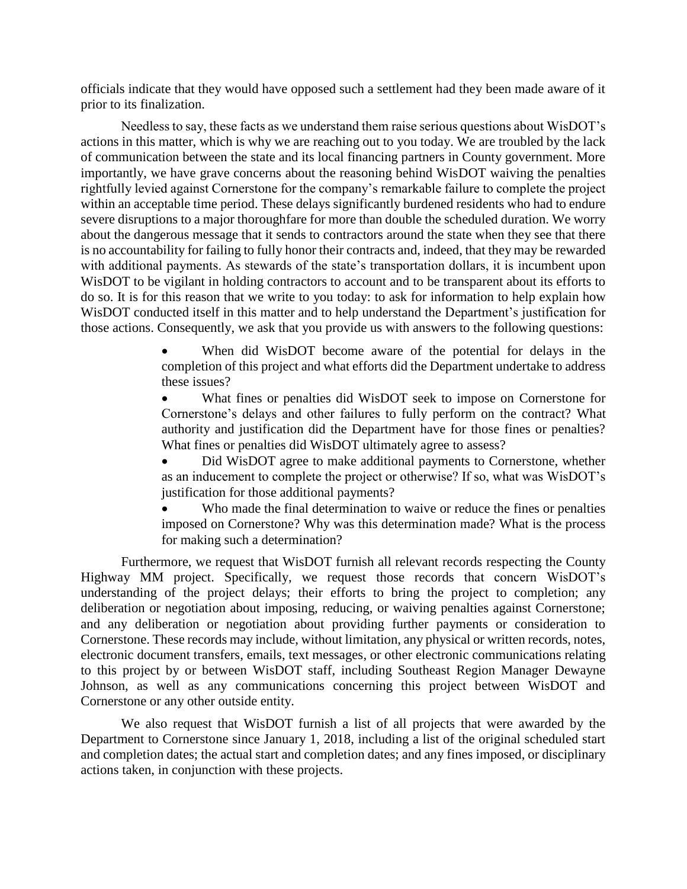officials indicate that they would have opposed such a settlement had they been made aware of it prior to its finalization.

Needless to say, these facts as we understand them raise serious questions about WisDOT's actions in this matter, which is why we are reaching out to you today. We are troubled by the lack of communication between the state and its local financing partners in County government. More importantly, we have grave concerns about the reasoning behind WisDOT waiving the penalties rightfully levied against Cornerstone for the company's remarkable failure to complete the project within an acceptable time period. These delays significantly burdened residents who had to endure severe disruptions to a major thoroughfare for more than double the scheduled duration. We worry about the dangerous message that it sends to contractors around the state when they see that there is no accountability for failing to fully honor their contracts and, indeed, that they may be rewarded with additional payments. As stewards of the state's transportation dollars, it is incumbent upon WisDOT to be vigilant in holding contractors to account and to be transparent about its efforts to do so. It is for this reason that we write to you today: to ask for information to help explain how WisDOT conducted itself in this matter and to help understand the Department's justification for those actions. Consequently, we ask that you provide us with answers to the following questions:

> When did WisDOT become aware of the potential for delays in the completion of this project and what efforts did the Department undertake to address these issues?

> What fines or penalties did WisDOT seek to impose on Cornerstone for Cornerstone's delays and other failures to fully perform on the contract? What authority and justification did the Department have for those fines or penalties? What fines or penalties did WisDOT ultimately agree to assess?

> Did WisDOT agree to make additional payments to Cornerstone, whether as an inducement to complete the project or otherwise? If so, what was WisDOT's justification for those additional payments?

> Who made the final determination to waive or reduce the fines or penalties imposed on Cornerstone? Why was this determination made? What is the process for making such a determination?

Furthermore, we request that WisDOT furnish all relevant records respecting the County Highway MM project. Specifically, we request those records that concern WisDOT's understanding of the project delays; their efforts to bring the project to completion; any deliberation or negotiation about imposing, reducing, or waiving penalties against Cornerstone; and any deliberation or negotiation about providing further payments or consideration to Cornerstone. These records may include, without limitation, any physical or written records, notes, electronic document transfers, emails, text messages, or other electronic communications relating to this project by or between WisDOT staff, including Southeast Region Manager Dewayne Johnson, as well as any communications concerning this project between WisDOT and Cornerstone or any other outside entity.

We also request that WisDOT furnish a list of all projects that were awarded by the Department to Cornerstone since January 1, 2018, including a list of the original scheduled start and completion dates; the actual start and completion dates; and any fines imposed, or disciplinary actions taken, in conjunction with these projects.